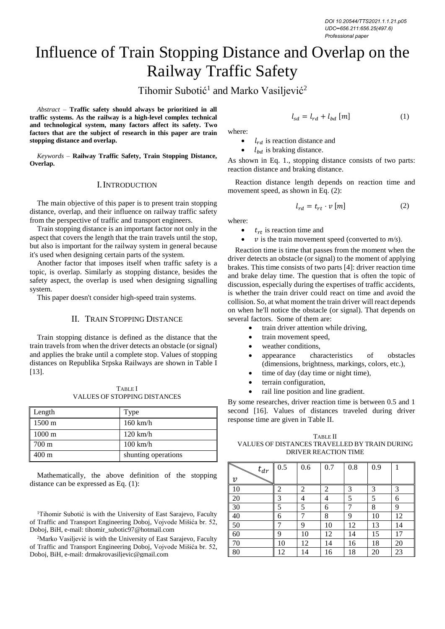# Influence of Train Stopping Distance and Overlap on the Railway Traffic Safety

Tihomir Subotić<sup>1</sup> and Marko Vasiljević<sup>2</sup>

*Abstract –* **Traffic safety should always be prioritized in all traffic systems. As the railway is a high-level complex technical and technological system, many factors affect its safety. Two factors that are the subject of research in this paper are train stopping distance and overlap.**

*Keywords –* **Railway Traffic Safety, Train Stopping Distance, Overlap.**

#### I.INTRODUCTION

The main objective of this paper is to present train stopping distance, overlap, and their influence on railway traffic safety from the perspective of traffic and transport engineers.

Train stopping distance is an important factor not only in the aspect that covers the length that the train travels until the stop, but also is important for the railway system in general because it's used when designing certain parts of the system.

Another factor that imposes itself when traffic safety is a topic, is overlap. Similarly as stopping distance, besides the safety aspect, the overlap is used when designing signalling system.

This paper doesn't consider high-speed train systems.

## II. TRAIN STOPPING DISTANCE

Train stopping distance is defined as the distance that the train travels from when the driver detects an obstacle (or signal) and applies the brake until a complete stop. Values of stopping distances on Republika Srpska Railways are shown in Table I [13].

TABLE I VALUES OF STOPPING DISTANCES

| Length           | Type                |
|------------------|---------------------|
| $1500 \text{ m}$ | $160$ km/h          |
| $1000 \text{ m}$ | $120$ km/h          |
| $1700 \text{ m}$ | $100 \text{ km/h}$  |
| $400 \text{ m}$  | shunting operations |

Mathematically, the above definition of the stopping distance can be expressed as Eq. (1):

<sup>1</sup>Tihomir Subotić is with the University of East Sarajevo, Faculty of Traffic and Transport Engineering Doboj, Vojvode Mišića br. 52, Doboj, BiH, e-mail: tihomir\_subotic97@hotmail.com

<sup>2</sup>Marko Vasiliević is with the University of East Sarajevo, Faculty of Traffic and Transport Engineering Doboj, Vojvode Mišića br. 52, Doboj, BiH, e-mail: drmakrovasiljevic@gmail.com

$$
l_{sd} = l_{rd} + l_{bd} [m] \tag{1}
$$

 $l_{rd}$  is reaction distance and

 $l_{bd}$  is braking distance.

As shown in Eq. 1., stopping distance consists of two parts: reaction distance and braking distance.

Reaction distance length depends on reaction time and movement speed, as shown in Eq. (2):

$$
l_{rd} = t_{rt} \cdot v \left[ m \right] \tag{2}
$$

where:

where:

- $t_{rt}$  is reaction time and
- $\nu$  is the train movement speed (converted to  $m/s$ ).

Reaction time is time that passes from the moment when the driver detects an obstacle (or signal) to the moment of applying brakes. This time consists of two parts [4]: driver reaction time and brake delay time. The question that is often the topic of discussion, especially during the expertises of traffic accidents, is whether the train driver could react on time and avoid the collision. So, at what moment the train driver will react depends on when he'll notice the obstacle (or signal). That depends on several factors. Some of them are:

- train driver attention while driving,
- train movement speed,
- weather conditions,
- appearance characteristics of obstacles (dimensions, brightness, markings, colors, etc.),
- time of day (day time or night time),
- terrain configuration,
- rail line position and line gradient.

By some researches, driver reaction time is between 0.5 and 1 second [16]. Values of distances traveled during driver response time are given in Table II.

TABLE II VALUES OF DISTANCES TRAVELLED BY TRAIN DURING DRIVER REACTION TIME

| $t_{dr}$                  | 0.5 | 0.6    | 0.7      | 0.8      | 0.9      |          |
|---------------------------|-----|--------|----------|----------|----------|----------|
| $\boldsymbol{\mathit{v}}$ |     |        |          |          |          |          |
| 10                        | 2   | 2      | 2        | 3        | 3        | 3        |
| 20                        | 3   | 4      | 4        | 5<br>7   | 5        | 6        |
| 30                        | 5   | 5<br>7 | 6        |          | 8        | 9        |
| 40<br>50                  | 6   | 9      | 8        | 9        | 10       | 12       |
| 60                        | 9   | 10     | 10<br>12 | 12<br>14 | 13<br>15 | 14<br>17 |
| 70                        | 10  | 12     | 14       | 16       | 18       | 20       |
| 80                        | 12  | 14     | 16       | 18       | 20       | 23       |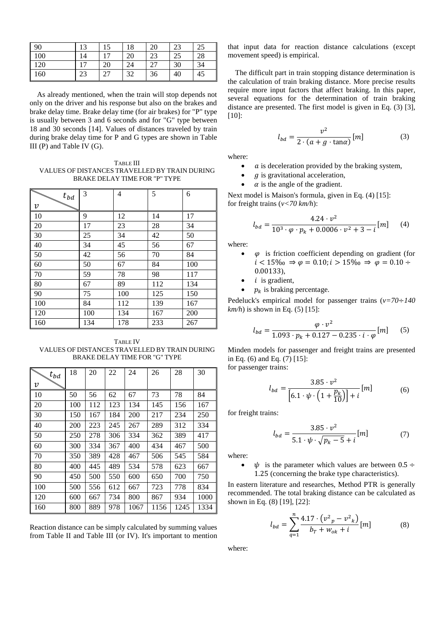| $\sqrt{90}$    | 13         | $1 \subset$ | 18 | 20 | $2^{\circ}$<br>ر ے | つぐ<br>ل ک |
|----------------|------------|-------------|----|----|--------------------|-----------|
| 100            | 14         |             | 20 | 23 | 25                 | 28        |
| 120            | $\sqrt{2}$ | 20          | 24 | 27 | 30                 | 34        |
| <sup>160</sup> | 23         |             | 32 | 36 | 40                 | 45        |

As already mentioned, when the train will stop depends not only on the driver and his response but also on the brakes and brake delay time. Brake delay time (for air brakes) for "P" type is usually between 3 and 6 seconds and for "G" type between 18 and 30 seconds [14]. Values of distances traveled by train during brake delay time for P and G types are shown in Table III (P) and Table IV (G).

TABLE III VALUES OF DISTANCES TRAVELLED BY TRAIN DURING BRAKE DELAY TIME FOR "P" TYPE

| $t_{bd}$         | 3   | 4   | 5   | 6   |
|------------------|-----|-----|-----|-----|
| $\boldsymbol{v}$ |     |     |     |     |
| <sup>10</sup>    | 9   | 12  | 14  | 17  |
| 20               | 17  | 23  | 28  | 34  |
| 30               | 25  | 34  | 42  | 50  |
| 40               | 34  | 45  | 56  | 67  |
| 50               | 42  | 56  | 70  | 84  |
| 60               | 50  | 67  | 84  | 100 |
| 70               | 59  | 78  | 98  | 117 |
| 80               | 67  | 89  | 112 | 134 |
| - 90             | 75  | 100 | 125 | 150 |
| 100              | 84  | 112 | 139 | 167 |
| 120              | 100 | 134 | 167 | 200 |
| 160              | 134 | 178 | 233 | 267 |

TABLE IV VALUES OF DISTANCES TRAVELLED BY TRAIN DURING BRAKE DELAY TIME FOR "G" TYPE

| ↖<br>$t_{bd}$              | 18  | 20  | 22  | 24   | 26   | 28   | 30   |
|----------------------------|-----|-----|-----|------|------|------|------|
| $\boldsymbol{\mathcal{V}}$ |     |     |     |      |      |      |      |
| 10                         | 50  | 56  | 62  | 67   | 73   | 78   | 84   |
| 20                         | 100 | 112 | 123 | 134  | 145  | 156  | 167  |
| 30                         | 150 | 167 | 184 | 200  | 217  | 234  | 250  |
| 40                         | 200 | 223 | 245 | 267  | 289  | 312  | 334  |
| 50                         | 250 | 278 | 306 | 334  | 362  | 389  | 417  |
| 60                         | 300 | 334 | 367 | 400  | 434  | 467  | 500  |
| 70                         | 350 | 389 | 428 | 467  | 506  | 545  | 584  |
| 80                         | 400 | 445 | 489 | 534  | 578  | 623  | 667  |
| 90                         | 450 | 500 | 550 | 600  | 650  | 700  | 750  |
| 100                        | 500 | 556 | 612 | 667  | 723  | 778  | 834  |
| 120                        | 600 | 667 | 734 | 800  | 867  | 934  | 1000 |
| 160                        | 800 | 889 | 978 | 1067 | 1156 | 1245 | 1334 |

Reaction distance can be simply calculated by summing values from Table II and Table III (or IV). It's important to mention

that input data for reaction distance calculations (except movement speed) is empirical.

The difficult part in train stopping distance determination is the calculation of train braking distance. More precise results require more input factors that affect braking. In this paper, several equations for the determination of train braking distance are presented. The first model is given in Eq. (3) [3], [10]:

$$
l_{bd} = \frac{v^2}{2 \cdot (a + g \cdot \tan \alpha)} [m] \tag{3}
$$

where:

- $a$  is deceleration provided by the braking system,
- $q$  is gravitational acceleration,
- $\alpha$  is the angle of the gradient.

Next model is Maison's formula, given in Eq. (4) [15]: for freight trains (*v<70 km/h*):

$$
l_{bd} = \frac{4.24 \cdot v^2}{10^3 \cdot \varphi \cdot p_k + 0.0006 \cdot v^2 + 3 - i} [m] \qquad (4)
$$

where:

- $\varphi$  is friction coefficient depending on gradient (for  $i < 15\%$ <sub>0</sub>  $\Rightarrow \varphi = 0.10$ ;  $i > 15\%$ <sub>0</sub>  $\Rightarrow \varphi = 0.10 \div$ 0.00133),
- $i$  is gradient,
- $p_k$  is braking percentage.

Pedeluck's empirical model for passenger trains (*v=70*÷*140*   $km/h$ ) is shown in Eq. (5) [15]:

$$
l_{bd} = \frac{\varphi \cdot v^2}{1.093 \cdot p_k + 0.127 - 0.235 \cdot i \cdot \varphi} [m] \qquad (5)
$$

Minden models for passenger and freight trains are presented in Eq. (6) and Eq. (7) [15]:

for passenger trains:

$$
l_{bd} = \frac{3.85 \cdot \nu^2}{\left[ 6.1 \cdot \psi \cdot \left( 1 + \frac{p_k}{10} \right) \right] + i} [m] \tag{6}
$$

for freight trains:

$$
l_{bd} = \frac{3.85 \cdot v^2}{5.1 \cdot \psi \cdot \sqrt{p_k - 5} + i} [m] \tag{7}
$$

where:

 $\psi$  is the parameter which values are between 0.5 ÷ 1.25 (concerning the brake type characteristics).

In eastern literature and researches, Method PTR is generally recommended. The total braking distance can be calculated as shown in Eq. (8) [19], [22]:

$$
l_{bd} = \sum_{q=1}^{n} \frac{4.17 \cdot (v_{p}^{2} - v_{k}^{2})}{b_{T} + w_{ok} + i} [m]
$$
 (8)

where: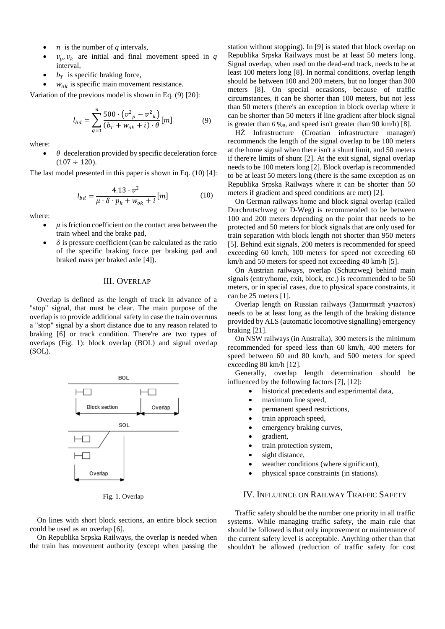- $n$  is the number of  $q$  intervals,
- $v_n$ ,  $v_k$  are initial and final movement speed in *q* interval,
- $b<sub>T</sub>$  is specific braking force,
- $w_{ok}$  is specific main movement resistance.

Variation of the previous model is shown in Eq. (9) [20]:

$$
l_{bd} = \sum_{q=1}^{n} \frac{500 \cdot (v_{p}^{2} - v_{k}^{2})}{(b_{T} + w_{ok} + i) \cdot \theta} [m]
$$
(9)

where:

 $\theta$  deceleration provided by specific deceleration force  $(107 \div 120)$ .

The last model presented in this paper is shown in Eq. (10) [4]:

$$
l_{bd} = \frac{4.13 \cdot v^2}{\mu \cdot \delta \cdot p_k + w_{ok} + i} [m] \tag{10}
$$

where:

- $\mu$  is friction coefficient on the contact area between the train wheel and the brake pad,
- $\delta$  is pressure coefficient (can be calculated as the ratio of the specific braking force per braking pad and braked mass per braked axle [4]).

# III. OVERLAP

Overlap is defined as the length of track in advance of a "stop" signal, that must be clear. The main purpose of the overlap is to provide additional safety in case the train overruns a "stop" signal by a short distance due to any reason related to braking [6] or track condition. There're are two types of overlaps (Fig. 1): block overlap (BOL) and signal overlap (SOL).



Fig. 1. Overlap

On lines with short block sections, an entire block section could be used as an overlap [6].

On Republika Srpska Railways, the overlap is needed when the train has movement authority (except when passing the

station without stopping). In [9] is stated that block overlap on Republika Srpska Railways must be at least 50 meters long. Signal overlap, when used on the dead-end track, needs to be at least 100 meters long [8]. In normal conditions, overlap length should be between 100 and 200 meters, but no longer than 300 meters [8]. On special occasions, because of traffic circumstances, it can be shorter than 100 meters, but not less than 50 meters (there's an exception in block overlap where it can be shorter than 50 meters if line gradient after block signal is greater than 6 ‰, and speed isn't greater than 90 km/h) [8].

HŽ Infrastructure (Croatian infrastructure manager) recommends the length of the signal overlap to be 100 meters at the home signal when there isn't a shunt limit, and 50 meters if there're limits of shunt [2]. At the exit signal, signal overlap needs to be 100 meters long [2]. Block overlap is recommended to be at least 50 meters long (there is the same exception as on Republika Srpska Railways where it can be shorter than 50 meters if gradient and speed conditions are met) [2].

On German railways home and block signal overlap (called Durchrutschweg or D-Weg) is recommended to be between 100 and 200 meters depending on the point that needs to be protected and 50 meters for block signals that are only used for train separation with block length not shorter than 950 meters [5]. Behind exit signals, 200 meters is recommended for speed exceeding 60 km/h, 100 meters for speed not exceeding 60 km/h and 50 meters for speed not exceeding 40 km/h [5].

On Austrian railways, overlap (Schutzweg) behind main signals (entry/home, exit, block, etc.) is recommended to be 50 meters, or in special cases, due to physical space constraints, it can be 25 meters [1].

Overlap length on Russian railways (Защитный участок) needs to be at least long as the length of the braking distance provided by ALS (automatic locomotive signalling) emergency braking [21].

On NSW railways (in Australia), 300 meters is the minimum recommended for speed less than 60 km/h, 400 meters for speed between 60 and 80 km/h, and 500 meters for speed exceeding 80 km/h [12].

Generally, overlap length determination should be influenced by the following factors [7], [12]:

- historical precedents and experimental data,
- maximum line speed,
- permanent speed restrictions,
- train approach speed,
- emergency braking curves,
- gradient,
- train protection system,
- sight distance,
- weather conditions (where significant),
- physical space constraints (in stations).

## IV. INFLUENCE ON RAILWAY TRAFFIC SAFETY

Traffic safety should be the number one priority in all traffic systems. While managing traffic safety, the main rule that should be followed is that only improvement or maintenance of the current safety level is acceptable. Anything other than that shouldn't be allowed (reduction of traffic safety for cost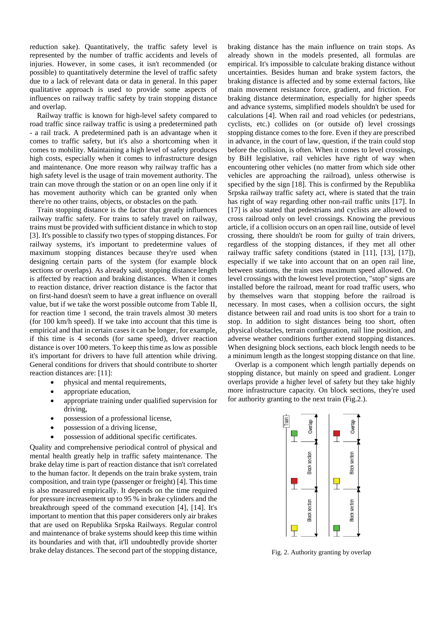reduction sake). Quantitatively, the traffic safety level is represented by the number of traffic accidents and levels of injuries. However, in some cases, it isn't recommended (or possible) to quantitatively determine the level of traffic safety due to a lack of relevant data or data in general. In this paper qualitative approach is used to provide some aspects of influences on railway traffic safety by train stopping distance and overlap.

Railway traffic is known for high-level safety compared to road traffic since railway traffic is using a predetermined path - a rail track. A predetermined path is an advantage when it comes to traffic safety, but it's also a shortcoming when it comes to mobility. Maintaining a high level of safety produces high costs, especially when it comes to infrastructure design and maintenance. One more reason why railway traffic has a high safety level is the usage of train movement authority. The train can move through the station or on an open line only if it has movement authority which can be granted only when there're no other trains, objects, or obstacles on the path.

Train stopping distance is the factor that greatly influences railway traffic safety. For trains to safely travel on railway, trains must be provided with sufficient distance in which to stop [3]. It's possible to classify two types of stopping distances. For railway systems, it's important to predetermine values of maximum stopping distances because they're used when designing certain parts of the system (for example block sections or overlaps). As already said, stopping distance length is affected by reaction and braking distances. When it comes to reaction distance, driver reaction distance is the factor that on first-hand doesn't seem to have a great influence on overall value, but if we take the worst possible outcome from Table II, for reaction time 1 second, the train travels almost 30 meters (for 100 km/h speed). If we take into account that this time is empirical and that in certain cases it can be longer, for example, if this time is 4 seconds (for same speed), driver reaction distance is over 100 meters. To keep this time as low as possible it's important for drivers to have full attention while driving. General conditions for drivers that should contribute to shorter reaction distances are: [11]:

- physical and mental requirements,
- appropriate education,
- appropriate training under qualified supervision for driving,
- possession of a professional license,
- possession of a driving license,
- possession of additional specific certificates.

Quality and comprehensive periodical control of physical and mental health greatly help in traffic safety maintenance. The brake delay time is part of reaction distance that isn't correlated to the human factor. It depends on the train brake system, train composition, and train type (passenger or freight) [4]. This time is also measured empirically. It depends on the time required for pressure increasement up to 95 % in brake cylinders and the breakthrough speed of the command execution [4], [14]. It's important to mention that this paper considerers only air brakes that are used on Republika Srpska Railways. Regular control and maintenance of brake systems should keep this time within its boundaries and with that, it'll undoubtedly provide shorter brake delay distances. The second part of the stopping distance,

braking distance has the main influence on train stops. As already shown in the models presented, all formulas are empirical. It's impossible to calculate braking distance without uncertainties. Besides human and brake system factors, the braking distance is affected and by some external factors, like main movement resistance force, gradient, and friction. For braking distance determination, especially for higher speeds and advance systems, simplified models shouldn't be used for calculations [4]. When rail and road vehicles (or pedestrians, cyclists, etc.) collides on (or outside of) level crossings stopping distance comes to the fore. Even if they are prescribed in advance, in the court of law, question, if the train could stop before the collision, is often. When it comes to level crossings, by BiH legislative, rail vehicles have right of way when encountering other vehicles (no matter from which side other vehicles are approaching the railroad), unless otherwise is specified by the sign [18]. This is confirmed by the Republika Srpska railway traffic safety act, where is stated that the train has right of way regarding other non-rail traffic units [17]. In [17] is also stated that pedestrians and cyclists are allowed to cross railroad only on level crossings. Knowing the previous article, if a collision occurs on an open rail line, outside of level crossing, there shouldn't be room for guilty of train drivers, regardless of the stopping distances, if they met all other railway traffic safety conditions (stated in [11], [13], [17]), especially if we take into account that on an open rail line, between stations, the train uses maximum speed allowed. On level crossings with the lowest level protection, "stop" signs are installed before the railroad, meant for road traffic users, who by themselves warn that stopping before the railroad is necessary. In most cases, when a collision occurs, the sight distance between rail and road units is too short for a train to stop. In addition to sight distances being too short, often physical obstacles, terrain configuration, rail line position, and adverse weather conditions further extend stopping distances. When designing block sections, each block length needs to be a minimum length as the longest stopping distance on that line.

Overlap is a component which length partially depends on stopping distance, but mainly on speed and gradient. Longer overlaps provide a higher level of safety but they take highly more infrastructure capacity. On block sections, they're used for authority granting to the next train (Fig.2.).



Fig. 2. Authority granting by overlap